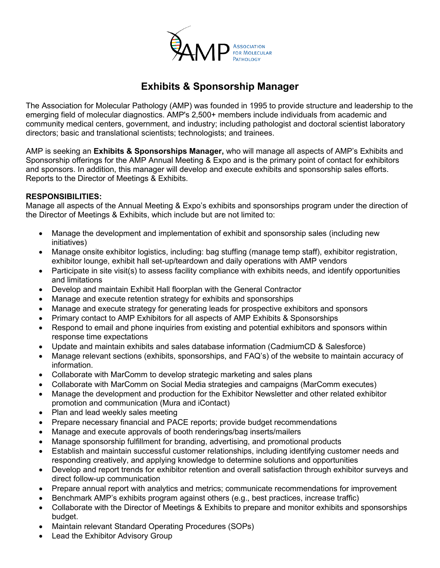

# **Exhibits & Sponsorship Manager**

The Association for Molecular Pathology (AMP) was founded in 1995 to provide structure and leadership to the emerging field of molecular diagnostics. AMP's 2,500+ members include individuals from academic and community medical centers, government, and industry; including pathologist and doctoral scientist laboratory directors; basic and translational scientists; technologists; and trainees.

AMP is seeking an **Exhibits & Sponsorships Manager,** who will manage all aspects of AMP's Exhibits and Sponsorship offerings for the AMP Annual Meeting & Expo and is the primary point of contact for exhibitors and sponsors. In addition, this manager will develop and execute exhibits and sponsorship sales efforts. Reports to the Director of Meetings & Exhibits.

#### **RESPONSIBILITIES:**

Manage all aspects of the Annual Meeting & Expo's exhibits and sponsorships program under the direction of the Director of Meetings & Exhibits, which include but are not limited to:

- Manage the development and implementation of exhibit and sponsorship sales (including new initiatives)
- Manage onsite exhibitor logistics, including: bag stuffing (manage temp staff), exhibitor registration, exhibitor lounge, exhibit hall set-up/teardown and daily operations with AMP vendors
- Participate in site visit(s) to assess facility compliance with exhibits needs, and identify opportunities and limitations
- Develop and maintain Exhibit Hall floorplan with the General Contractor
- Manage and execute retention strategy for exhibits and sponsorships
- Manage and execute strategy for generating leads for prospective exhibitors and sponsors
- Primary contact to AMP Exhibitors for all aspects of AMP Exhibits & Sponsorships
- Respond to email and phone inquiries from existing and potential exhibitors and sponsors within response time expectations
- Update and maintain exhibits and sales database information (CadmiumCD & Salesforce)
- Manage relevant sections (exhibits, sponsorships, and FAQ's) of the website to maintain accuracy of information.
- Collaborate with MarComm to develop strategic marketing and sales plans
- Collaborate with MarComm on Social Media strategies and campaigns (MarComm executes)
- Manage the development and production for the Exhibitor Newsletter and other related exhibitor promotion and communication (Mura and iContact)
- Plan and lead weekly sales meeting
- Prepare necessary financial and PACE reports; provide budget recommendations
- Manage and execute approvals of booth renderings/bag inserts/mailers
- Manage sponsorship fulfillment for branding, advertising, and promotional products
- Establish and maintain successful customer relationships, including identifying customer needs and responding creatively, and applying knowledge to determine solutions and opportunities
- Develop and report trends for exhibitor retention and overall satisfaction through exhibitor surveys and direct follow-up communication
- Prepare annual report with analytics and metrics; communicate recommendations for improvement
- Benchmark AMP's exhibits program against others (e.g., best practices, increase traffic)
- Collaborate with the Director of Meetings & Exhibits to prepare and monitor exhibits and sponsorships budget.
- Maintain relevant Standard Operating Procedures (SOPs)
- Lead the Exhibitor Advisory Group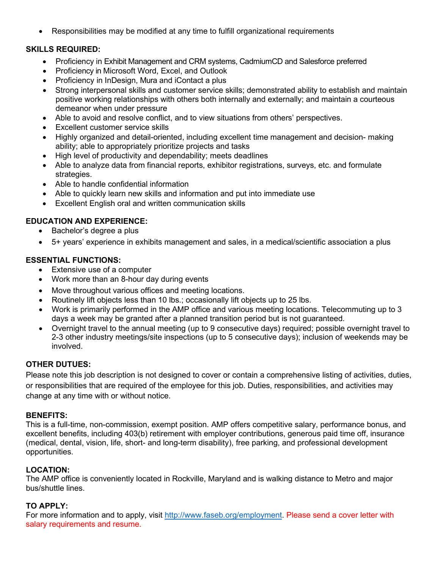• Responsibilities may be modified at any time to fulfill organizational requirements

## **SKILLS REQUIRED:**

- Proficiency in Exhibit Management and CRM systems, CadmiumCD and Salesforce preferred
- Proficiency in Microsoft Word, Excel, and Outlook
- Proficiency in InDesign, Mura and iContact a plus
- Strong interpersonal skills and customer service skills; demonstrated ability to establish and maintain positive working relationships with others both internally and externally; and maintain a courteous demeanor when under pressure
- Able to avoid and resolve conflict, and to view situations from others' perspectives.
- **Excellent customer service skills**
- Highly organized and detail-oriented, including excellent time management and decision- making ability; able to appropriately prioritize projects and tasks
- High level of productivity and dependability; meets deadlines
- Able to analyze data from financial reports, exhibitor registrations, surveys, etc. and formulate strategies.
- Able to handle confidential information
- Able to quickly learn new skills and information and put into immediate use
- Excellent English oral and written communication skills

### **EDUCATION AND EXPERIENCE:**

- Bachelor's degree a plus
- 5+ years' experience in exhibits management and sales, in a medical/scientific association a plus

## **ESSENTIAL FUNCTIONS:**

- Extensive use of a computer
- Work more than an 8-hour day during events
- Move throughout various offices and meeting locations.
- Routinely lift objects less than 10 lbs.; occasionally lift objects up to 25 lbs.
- Work is primarily performed in the AMP office and various meeting locations. Telecommuting up to 3 days a week may be granted after a planned transition period but is not guaranteed.
- Overnight travel to the annual meeting (up to 9 consecutive days) required; possible overnight travel to 2-3 other industry meetings/site inspections (up to 5 consecutive days); inclusion of weekends may be involved.

## **OTHER DUTUES:**

Please note this job description is not designed to cover or contain a comprehensive listing of activities, duties, or responsibilities that are required of the employee for this job. Duties, responsibilities, and activities may change at any time with or without notice.

#### **BENEFITS:**

This is a full-time, non-commission, exempt position. AMP offers competitive salary, performance bonus, and excellent benefits, including 403(b) retirement with employer contributions, generous paid time off, insurance (medical, dental, vision, life, short- and long-term disability), free parking, and professional development opportunities.

## **LOCATION:**

The AMP office is conveniently located in Rockville, Maryland and is walking distance to Metro and major bus/shuttle lines.

#### **TO APPLY:**

For more information and to apply, visit [http://www.faseb.org/employment.](http://www.faseb.org/employment) Please send a cover letter with salary requirements and resume.